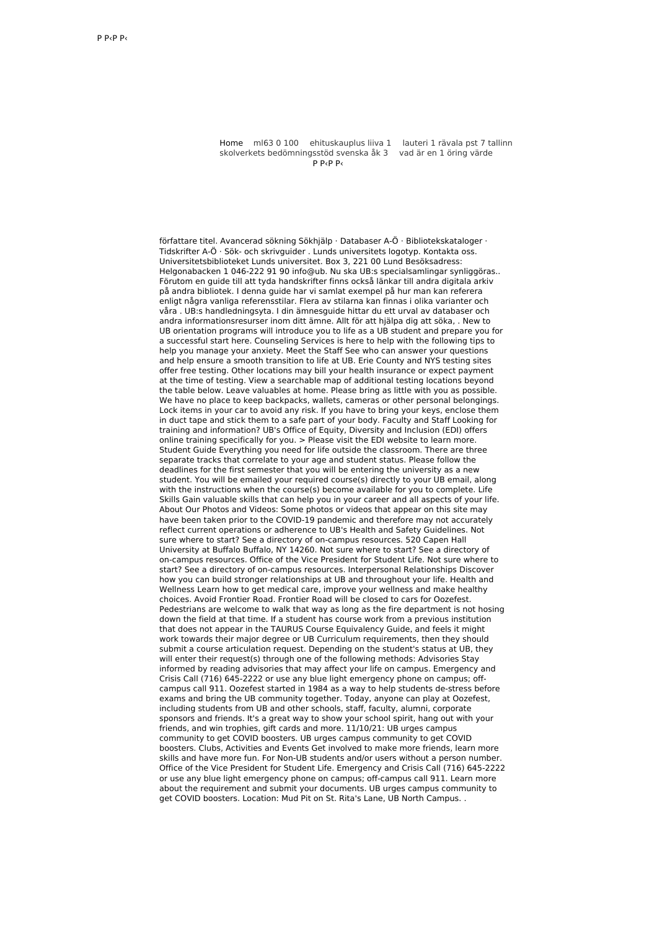Home [ml63](http://manufakturawakame.pl/NK0) 0 100 [ehituskauplus](http://bajbe.pl/O3N) liiva 1 [lauteri](http://bajbe.pl/DBt) 1 rävala pst 7 tallinn skolverkets [bedömningsstöd](http://manufakturawakame.pl/az) svenska åk 3 vad är en 1 öring [värde](http://manufakturawakame.pl/V1A)  $P$  Р $\epsilon$ Р $\epsilon$ 

författare titel. Avancerad sökning Sökhjälp · Databaser A-Ö · Bibliotekskataloger · Tidskrifter A-Ö · Sök- och skrivguider . Lunds universitets logotyp. Kontakta oss. Universitetsbiblioteket Lunds universitet. Box 3, 221 00 Lund Besöksadress: Helgonabacken 1 046-222 91 90 info@ub. Nu ska UB:s specialsamlingar synliggöras.. Förutom en guide till att tyda handskrifter finns också länkar till andra digitala arkiv på andra bibliotek. I denna guide har vi samlat exempel på hur man kan referera enligt några vanliga referensstilar. Flera av stilarna kan finnas i olika varianter och våra . UB:s handledningsyta. I din ämnesguide hittar du ett urval av databaser och andra informationsresurser inom ditt ämne. Allt för att hjälpa dig att söka, . New to UB orientation programs will introduce you to life as a UB student and prepare you for a successful start here. Counseling Services is here to help with the following tips to help you manage your anxiety. Meet the Staff See who can answer your questions and help ensure a smooth transition to life at UB. Erie County and NYS testing sites offer free testing. Other locations may bill your health insurance or expect payment at the time of testing. View a searchable map of additional testing locations beyond the table below. Leave valuables at home. Please bring as little with you as possible. We have no place to keep backpacks, wallets, cameras or other personal belongings. Lock items in your car to avoid any risk. If you have to bring your keys, enclose them in duct tape and stick them to a safe part of your body. Faculty and Staff Looking for training and information? UB's Office of Equity, Diversity and Inclusion (EDI) offers online training specifically for you. > Please visit the EDI website to learn more. Student Guide Everything you need for life outside the classroom. There are three separate tracks that correlate to your age and student status. Please follow the deadlines for the first semester that you will be entering the university as a new student. You will be emailed your required course(s) directly to your UB email, along with the instructions when the course(s) become available for you to complete. Life Skills Gain valuable skills that can help you in your career and all aspects of your life. About Our Photos and Videos: Some photos or videos that appear on this site may have been taken prior to the COVID-19 pandemic and therefore may not accurately reflect current operations or adherence to UB's Health and Safety Guidelines. Not sure where to start? See a directory of on-campus resources. 520 Capen Hall University at Buffalo Buffalo, NY 14260. Not sure where to start? See a directory of on-campus resources. Office of the Vice President for Student Life. Not sure where to start? See a directory of on-campus resources. Interpersonal Relationships Discover how you can build stronger relationships at UB and throughout your life. Health and Wellness Learn how to get medical care, improve your wellness and make healthy choices. Avoid Frontier Road. Frontier Road will be closed to cars for Oozefest. Pedestrians are welcome to walk that way as long as the fire department is not hosing down the field at that time. If a student has course work from a previous institution that does not appear in the TAURUS Course Equivalency Guide, and feels it might work towards their major degree or UB Curriculum requirements, then they should submit a course articulation request. Depending on the student's status at UB, they will enter their request(s) through one of the following methods: Advisories Stay informed by reading advisories that may affect your life on campus. Emergency and Crisis Call (716) 645-2222 or use any blue light emergency phone on campus; offcampus call 911. Oozefest started in 1984 as a way to help students de-stress before exams and bring the UB community together. Today, anyone can play at Oozefest, including students from UB and other schools, staff, faculty, alumni, corporate sponsors and friends. It's a great way to show your school spirit, hang out with your friends, and win trophies, gift cards and more. 11/10/21: UB urges campus community to get COVID boosters. UB urges campus community to get COVID boosters. Clubs, Activities and Events Get involved to make more friends, learn more skills and have more fun. For Non-UB students and/or users without a person number. Office of the Vice President for Student Life. Emergency and Crisis Call (716) 645-2222 or use any blue light emergency phone on campus; off-campus call 911. Learn more about the requirement and submit your documents. UB urges campus community to get COVID boosters. Location: Mud Pit on St. Rita's Lane, UB North Campus. .